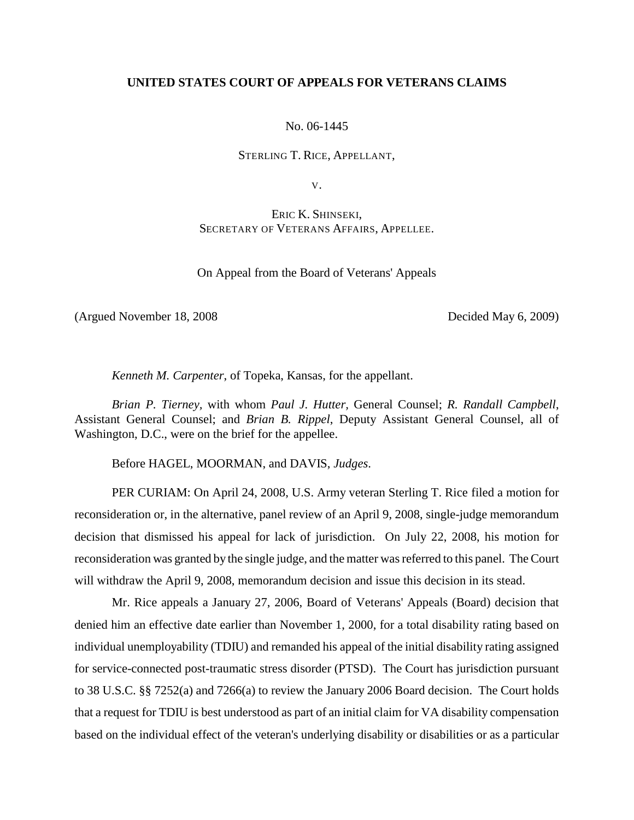# **UNITED STATES COURT OF APPEALS FOR VETERANS CLAIMS**

No. 06-1445

STERLING T. RICE, APPELLANT,

V.

ERIC K. SHINSEKI, SECRETARY OF VETERANS AFFAIRS, APPELLEE.

On Appeal from the Board of Veterans' Appeals

(Argued November 18, 2008 Decided May 6, 2009)

*Kenneth M. Carpenter*, of Topeka, Kansas, for the appellant.

*Brian P. Tierney,* with whom *Paul J. Hutter,* General Counsel; *R. Randall Campbell*, Assistant General Counsel; and *Brian B. Rippel*, Deputy Assistant General Counsel, all of Washington, D.C., were on the brief for the appellee.

Before HAGEL, MOORMAN, and DAVIS, *Judges*.

PER CURIAM: On April 24, 2008, U.S. Army veteran Sterling T. Rice filed a motion for reconsideration or, in the alternative, panel review of an April 9, 2008, single-judge memorandum decision that dismissed his appeal for lack of jurisdiction. On July 22, 2008, his motion for reconsideration was granted by the single judge, and the matter was referred to this panel. The Court will withdraw the April 9, 2008, memorandum decision and issue this decision in its stead.

Mr. Rice appeals a January 27, 2006, Board of Veterans' Appeals (Board) decision that denied him an effective date earlier than November 1, 2000, for a total disability rating based on individual unemployability (TDIU) and remanded his appeal of the initial disability rating assigned for service-connected post-traumatic stress disorder (PTSD). The Court has jurisdiction pursuant to 38 U.S.C. §§ 7252(a) and 7266(a) to review the January 2006 Board decision. The Court holds that a request for TDIU is best understood as part of an initial claim for VA disability compensation based on the individual effect of the veteran's underlying disability or disabilities or as a particular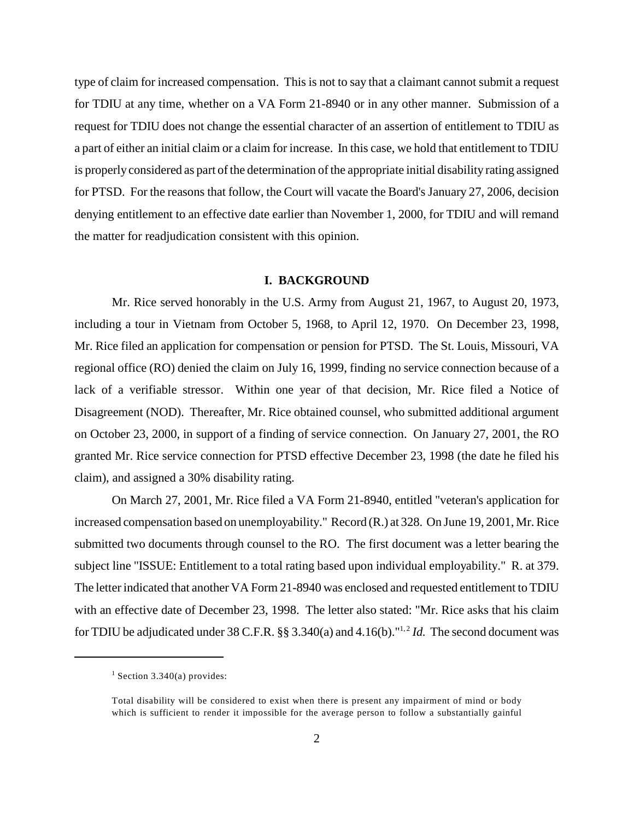type of claim for increased compensation. This is not to say that a claimant cannot submit a request for TDIU at any time, whether on a VA Form 21-8940 or in any other manner. Submission of a request for TDIU does not change the essential character of an assertion of entitlement to TDIU as a part of either an initial claim or a claim for increase. In this case, we hold that entitlement to TDIU is properly considered as part of the determination of the appropriate initial disability rating assigned for PTSD. For the reasons that follow, the Court will vacate the Board's January 27, 2006, decision denying entitlement to an effective date earlier than November 1, 2000, for TDIU and will remand the matter for readjudication consistent with this opinion.

# **I. BACKGROUND**

Mr. Rice served honorably in the U.S. Army from August 21, 1967, to August 20, 1973, including a tour in Vietnam from October 5, 1968, to April 12, 1970. On December 23, 1998, Mr. Rice filed an application for compensation or pension for PTSD. The St. Louis, Missouri, VA regional office (RO) denied the claim on July 16, 1999, finding no service connection because of a lack of a verifiable stressor. Within one year of that decision, Mr. Rice filed a Notice of Disagreement (NOD). Thereafter, Mr. Rice obtained counsel, who submitted additional argument on October 23, 2000, in support of a finding of service connection. On January 27, 2001, the RO granted Mr. Rice service connection for PTSD effective December 23, 1998 (the date he filed his claim), and assigned a 30% disability rating.

On March 27, 2001, Mr. Rice filed a VA Form 21-8940, entitled "veteran's application for increased compensation based on unemployability." Record (R.) at 328. On June 19, 2001, Mr. Rice submitted two documents through counsel to the RO. The first document was a letter bearing the subject line "ISSUE: Entitlement to a total rating based upon individual employability." R. at 379. The letter indicated that another VA Form 21-8940 was enclosed and requested entitlement to TDIU with an effective date of December 23, 1998. The letter also stated: "Mr. Rice asks that his claim for TDIU be adjudicated under 38 C.F.R.  $\S$ § 3.340(a) and 4.16(b).<sup>"1,2</sup> Id. The second document was

<sup>&</sup>lt;sup>1</sup> Section 3.340(a) provides:

Total disability will be considered to exist when there is present any impairment of mind or body which is sufficient to render it impossible for the average person to follow a substantially gainful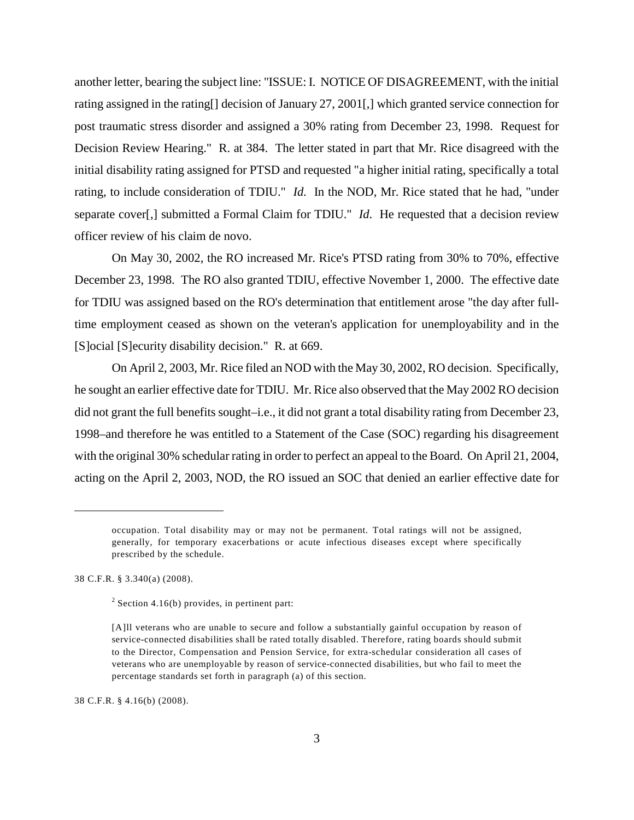another letter, bearing the subject line: "ISSUE: I. NOTICE OF DISAGREEMENT, with the initial rating assigned in the rating[] decision of January 27, 2001[,] which granted service connection for post traumatic stress disorder and assigned a 30% rating from December 23, 1998. Request for Decision Review Hearing." R. at 384. The letter stated in part that Mr. Rice disagreed with the initial disability rating assigned for PTSD and requested "a higher initial rating, specifically a total rating, to include consideration of TDIU." *Id.* In the NOD, Mr. Rice stated that he had, "under separate cover[,] submitted a Formal Claim for TDIU." *Id*. He requested that a decision review officer review of his claim de novo.

On May 30, 2002, the RO increased Mr. Rice's PTSD rating from 30% to 70%, effective December 23, 1998. The RO also granted TDIU, effective November 1, 2000. The effective date for TDIU was assigned based on the RO's determination that entitlement arose "the day after fulltime employment ceased as shown on the veteran's application for unemployability and in the [S]ocial [S]ecurity disability decision." R. at 669.

On April 2, 2003, Mr. Rice filed an NOD with the May 30, 2002, RO decision. Specifically, he sought an earlier effective date for TDIU. Mr. Rice also observed that the May 2002 RO decision did not grant the full benefits sought–i.e., it did not grant a total disability rating from December 23, 1998–and therefore he was entitled to a Statement of the Case (SOC) regarding his disagreement with the original 30% schedular rating in order to perfect an appeal to the Board. On April 21, 2004, acting on the April 2, 2003, NOD, the RO issued an SOC that denied an earlier effective date for

38 C.F.R. § 3.340(a) (2008).

38 C.F.R. § 4.16(b) (2008).

occupation. Total disability may or may not be permanent. Total ratings will not be assigned, generally, for temporary exacerbations or acute infectious diseases except where specifically prescribed by the schedule.

 $2$  Section 4.16(b) provides, in pertinent part:

<sup>[</sup>A]ll veterans who are unable to secure and follow a substantially gainful occupation by reason of service-connected disabilities shall be rated totally disabled. Therefore, rating boards should submit to the Director, Compensation and Pension Service, for extra-schedular consideration all cases of veterans who are unemployable by reason of service-connected disabilities, but who fail to meet the percentage standards set forth in paragraph (a) of this section.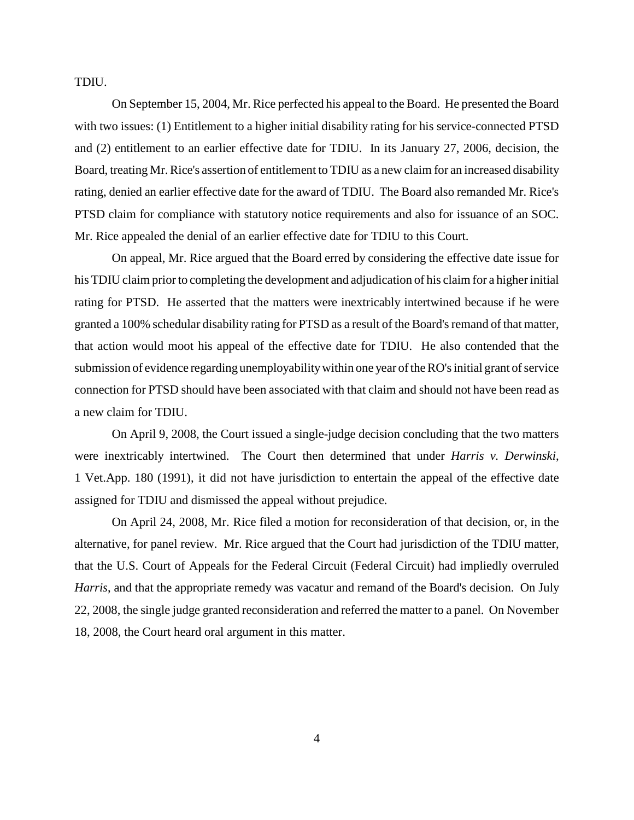TDIU.

On September 15, 2004, Mr. Rice perfected his appeal to the Board. He presented the Board with two issues: (1) Entitlement to a higher initial disability rating for his service-connected PTSD and (2) entitlement to an earlier effective date for TDIU. In its January 27, 2006, decision, the Board, treating Mr. Rice's assertion of entitlement to TDIU as a new claim for an increased disability rating, denied an earlier effective date for the award of TDIU. The Board also remanded Mr. Rice's PTSD claim for compliance with statutory notice requirements and also for issuance of an SOC. Mr. Rice appealed the denial of an earlier effective date for TDIU to this Court.

On appeal, Mr. Rice argued that the Board erred by considering the effective date issue for his TDIU claim prior to completing the development and adjudication of his claim for a higher initial rating for PTSD. He asserted that the matters were inextricably intertwined because if he were granted a 100% schedular disability rating for PTSD as a result of the Board's remand of that matter, that action would moot his appeal of the effective date for TDIU. He also contended that the submission of evidence regarding unemployability within one year of the RO's initial grant of service connection for PTSD should have been associated with that claim and should not have been read as a new claim for TDIU.

On April 9, 2008, the Court issued a single-judge decision concluding that the two matters were inextricably intertwined. The Court then determined that under *Harris v. Derwinski*, 1 Vet.App. 180 (1991), it did not have jurisdiction to entertain the appeal of the effective date assigned for TDIU and dismissed the appeal without prejudice.

On April 24, 2008, Mr. Rice filed a motion for reconsideration of that decision, or, in the alternative, for panel review. Mr. Rice argued that the Court had jurisdiction of the TDIU matter, that the U.S. Court of Appeals for the Federal Circuit (Federal Circuit) had impliedly overruled *Harris*, and that the appropriate remedy was vacatur and remand of the Board's decision. On July 22, 2008, the single judge granted reconsideration and referred the matter to a panel. On November 18, 2008, the Court heard oral argument in this matter.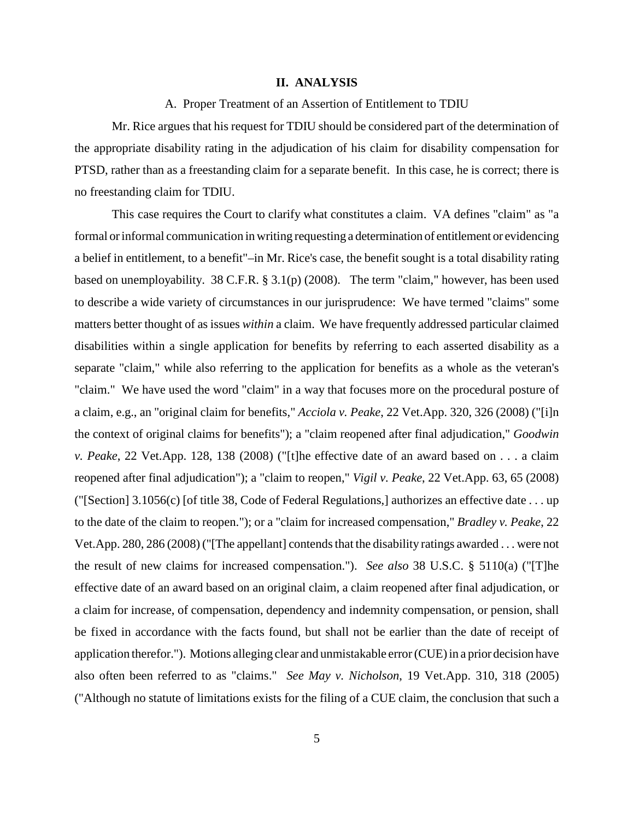#### **II. ANALYSIS**

# A. Proper Treatment of an Assertion of Entitlement to TDIU

Mr. Rice argues that his request for TDIU should be considered part of the determination of the appropriate disability rating in the adjudication of his claim for disability compensation for PTSD, rather than as a freestanding claim for a separate benefit. In this case, he is correct; there is no freestanding claim for TDIU.

This case requires the Court to clarify what constitutes a claim. VA defines "claim" as "a formal or informal communication in writing requesting a determination of entitlement or evidencing a belief in entitlement, to a benefit"–in Mr. Rice's case, the benefit sought is a total disability rating based on unemployability. 38 C.F.R. § 3.1(p) (2008). The term "claim," however, has been used to describe a wide variety of circumstances in our jurisprudence: We have termed "claims" some matters better thought of as issues *within* a claim. We have frequently addressed particular claimed disabilities within a single application for benefits by referring to each asserted disability as a separate "claim," while also referring to the application for benefits as a whole as the veteran's "claim." We have used the word "claim" in a way that focuses more on the procedural posture of a claim, e.g., an "original claim for benefits," *Acciola v. Peake*, 22 Vet.App. 320, 326 (2008) ("[i]n the context of original claims for benefits"); a "claim reopened after final adjudication," *Goodwin v. Peake*, 22 Vet.App. 128, 138 (2008) ("[t]he effective date of an award based on . . . a claim reopened after final adjudication"); a "claim to reopen," *Vigil v. Peake*, 22 Vet.App. 63, 65 (2008) ("[Section] 3.1056(c) [of title 38, Code of Federal Regulations,] authorizes an effective date . . . up to the date of the claim to reopen."); or a "claim for increased compensation," *Bradley v. Peake*, 22 Vet.App. 280, 286 (2008) ("[The appellant] contends that the disability ratings awarded . . . were not the result of new claims for increased compensation."). *See also* 38 U.S.C. § 5110(a) ("[T]he effective date of an award based on an original claim, a claim reopened after final adjudication, or a claim for increase, of compensation, dependency and indemnity compensation, or pension, shall be fixed in accordance with the facts found, but shall not be earlier than the date of receipt of application therefor."). Motions alleging clear and unmistakable error (CUE) in a prior decision have also often been referred to as "claims." *See May v. Nicholson*, 19 Vet.App. 310, 318 (2005) ("Although no statute of limitations exists for the filing of a CUE claim, the conclusion that such a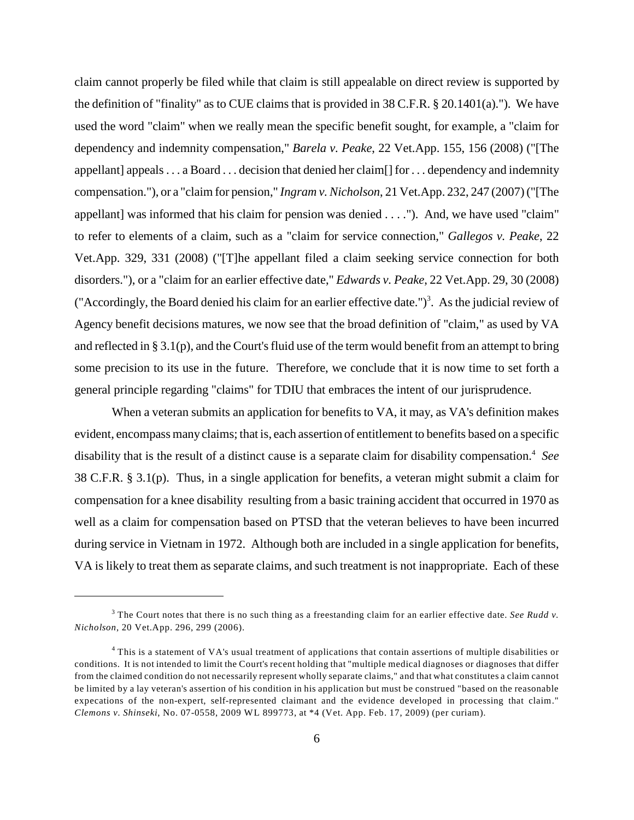claim cannot properly be filed while that claim is still appealable on direct review is supported by the definition of "finality" as to CUE claims that is provided in 38 C.F.R. § 20.1401(a)."). We have used the word "claim" when we really mean the specific benefit sought, for example, a "claim for dependency and indemnity compensation," *Barela v. Peake*, 22 Vet.App. 155, 156 (2008) ("[The appellant] appeals . . . a Board . . . decision that denied her claim[] for . . . dependency and indemnity compensation."), or a "claim for pension," *Ingram v. Nicholson*, 21 Vet.App. 232, 247 (2007) ("[The appellant] was informed that his claim for pension was denied . . . ."). And, we have used "claim" to refer to elements of a claim, such as a "claim for service connection," *Gallegos v. Peake*, 22 Vet.App. 329, 331 (2008) ("[T]he appellant filed a claim seeking service connection for both disorders."), or a "claim for an earlier effective date," *Edwards v. Peake*, 22 Vet.App. 29, 30 (2008) ("Accordingly, the Board denied his claim for an earlier effective date.")<sup>3</sup>. As the judicial review of Agency benefit decisions matures, we now see that the broad definition of "claim," as used by VA and reflected in § 3.1(p), and the Court's fluid use of the term would benefit from an attempt to bring some precision to its use in the future. Therefore, we conclude that it is now time to set forth a general principle regarding "claims" for TDIU that embraces the intent of our jurisprudence.

When a veteran submits an application for benefits to VA, it may, as VA's definition makes evident, encompass many claims; that is, each assertion of entitlement to benefits based on a specific disability that is the result of a distinct cause is a separate claim for disability compensation.<sup>4</sup> See 38 C.F.R. § 3.1(p). Thus, in a single application for benefits, a veteran might submit a claim for compensation for a knee disability resulting from a basic training accident that occurred in 1970 as well as a claim for compensation based on PTSD that the veteran believes to have been incurred during service in Vietnam in 1972. Although both are included in a single application for benefits, VA is likely to treat them as separate claims, and such treatment is not inappropriate. Each of these

<sup>&</sup>lt;sup>3</sup> The Court notes that there is no such thing as a freestanding claim for an earlier effective date. *See Rudd v*. *Nicholson*, 20 Vet.App. 296, 299 (2006).

<sup>&</sup>lt;sup>4</sup> This is a statement of VA's usual treatment of applications that contain assertions of multiple disabilities or conditions. It is not intended to limit the Court's recent holding that "multiple medical diagnoses or diagnoses that differ from the claimed condition do not necessarily represent wholly separate claims," and that what constitutes a claim cannot be limited by a lay veteran's assertion of his condition in his application but must be construed "based on the reasonable expecations of the non-expert, self-represented claimant and the evidence developed in processing that claim." *Clemons v. Shinseki*, No. 07-0558, 2009 WL 899773, at \*4 (Vet. App. Feb. 17, 2009) (per curiam).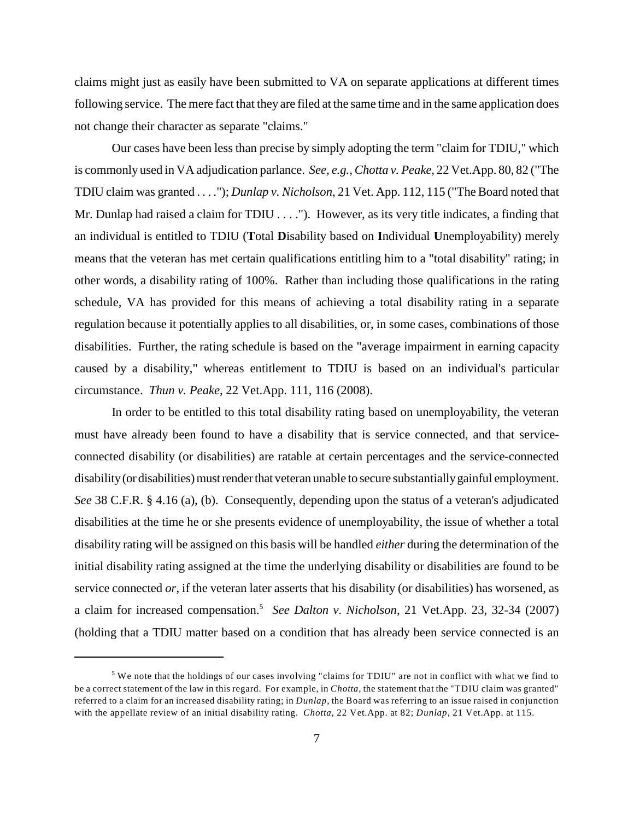claims might just as easily have been submitted to VA on separate applications at different times following service. The mere fact that they are filed at the same time and in the same application does not change their character as separate "claims."

Our cases have been less than precise by simply adopting the term "claim for TDIU," which is commonly used in VA adjudication parlance. *See, e.g.*, *Chotta v. Peake*, 22 Vet.App. 80, 82 ("The TDIU claim was granted . . . ."); *Dunlap v. Nicholson*, 21 Vet. App. 112, 115 ("The Board noted that Mr. Dunlap had raised a claim for TDIU . . . ."). However, as its very title indicates, a finding that an individual is entitled to TDIU (**T**otal **D**isability based on **I**ndividual **U**nemployability) merely means that the veteran has met certain qualifications entitling him to a "total disability" rating; in other words, a disability rating of 100%. Rather than including those qualifications in the rating schedule, VA has provided for this means of achieving a total disability rating in a separate regulation because it potentially applies to all disabilities, or, in some cases, combinations of those disabilities. Further, the rating schedule is based on the "average impairment in earning capacity caused by a disability," whereas entitlement to TDIU is based on an individual's particular circumstance. *Thun v. Peake*, 22 Vet.App. 111, 116 (2008).

In order to be entitled to this total disability rating based on unemployability, the veteran must have already been found to have a disability that is service connected, and that serviceconnected disability (or disabilities) are ratable at certain percentages and the service-connected disability (or disabilities) must render that veteran unable to secure substantially gainful employment. *See* 38 C.F.R. § 4.16 (a), (b). Consequently, depending upon the status of a veteran's adjudicated disabilities at the time he or she presents evidence of unemployability, the issue of whether a total disability rating will be assigned on this basis will be handled *either* during the determination of the initial disability rating assigned at the time the underlying disability or disabilities are found to be service connected *or*, if the veteran later asserts that his disability (or disabilities) has worsened, as a claim for increased compensation.<sup>5</sup> See Dalton v. Nicholson, 21 Vet.App. 23, 32-34 (2007) (holding that a TDIU matter based on a condition that has already been service connected is an

 $5$  We note that the holdings of our cases involving "claims for TDIU" are not in conflict with what we find to be a correct statement of the law in this regard. For example, in *Chotta*, the statement that the "TDIU claim was granted" referred to a claim for an increased disability rating; in *Dunlap*, the Board was referring to an issue raised in conjunction with the appellate review of an initial disability rating. *Chotta*, 22 Vet.App. at 82; *Dunlap*, 21 Vet.App. at 115.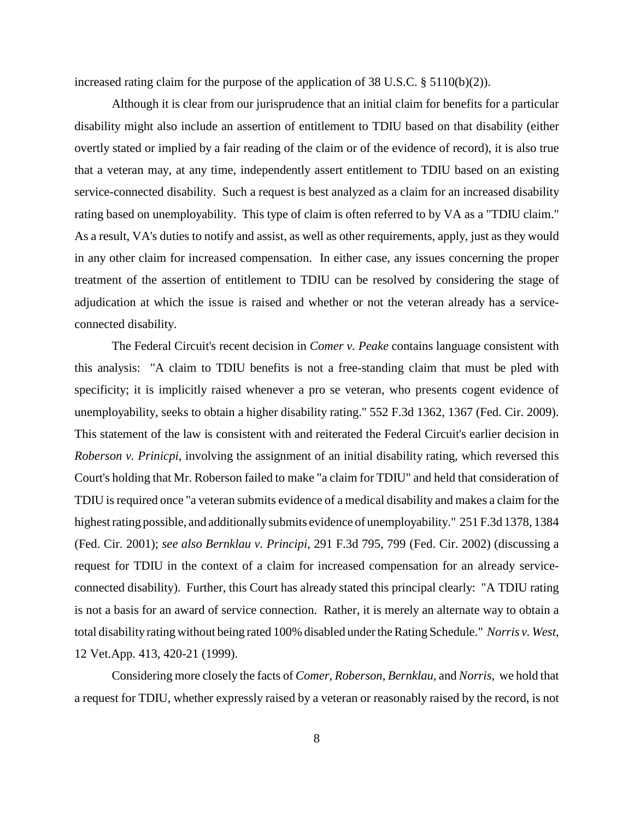increased rating claim for the purpose of the application of 38 U.S.C.  $\S$  5110(b)(2)).

Although it is clear from our jurisprudence that an initial claim for benefits for a particular disability might also include an assertion of entitlement to TDIU based on that disability (either overtly stated or implied by a fair reading of the claim or of the evidence of record), it is also true that a veteran may, at any time, independently assert entitlement to TDIU based on an existing service-connected disability. Such a request is best analyzed as a claim for an increased disability rating based on unemployability. This type of claim is often referred to by VA as a "TDIU claim." As a result, VA's duties to notify and assist, as well as other requirements, apply, just as they would in any other claim for increased compensation. In either case, any issues concerning the proper treatment of the assertion of entitlement to TDIU can be resolved by considering the stage of adjudication at which the issue is raised and whether or not the veteran already has a serviceconnected disability.

The Federal Circuit's recent decision in *Comer v. Peake* contains language consistent with this analysis: "A claim to TDIU benefits is not a free-standing claim that must be pled with specificity; it is implicitly raised whenever a pro se veteran, who presents cogent evidence of unemployability, seeks to obtain a higher disability rating." 552 F.3d 1362, 1367 (Fed. Cir. 2009). This statement of the law is consistent with and reiterated the Federal Circuit's earlier decision in *Roberson v. Prinicpi*, involving the assignment of an initial disability rating, which reversed this Court's holding that Mr. Roberson failed to make "a claim for TDIU" and held that consideration of TDIU is required once "a veteran submits evidence of a medical disability and makes a claim for the highest rating possible, and additionally submits evidence of unemployability." 251 F.3d 1378, 1384 (Fed. Cir. 2001); *see also Bernklau v. Principi*, 291 F.3d 795, 799 (Fed. Cir. 2002) (discussing a request for TDIU in the context of a claim for increased compensation for an already serviceconnected disability). Further, this Court has already stated this principal clearly: "A TDIU rating is not a basis for an award of service connection. Rather, it is merely an alternate way to obtain a total disability rating without being rated 100% disabled under the Rating Schedule." *Norris v. West*, 12 Vet.App. 413, 420-21 (1999).

Considering more closely the facts of *Comer*, *Roberson*, *Bernklau*, and *Norris*, we hold that a request for TDIU, whether expressly raised by a veteran or reasonably raised by the record, is not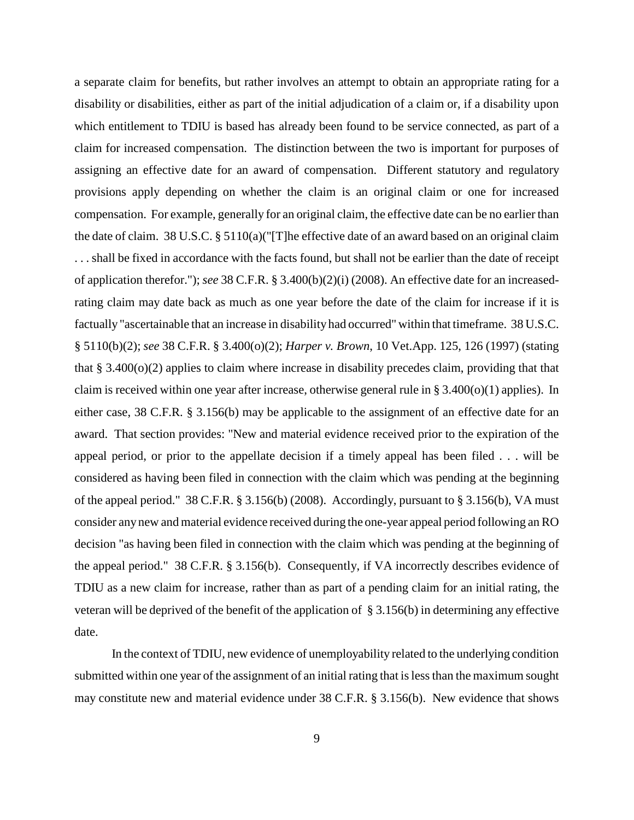a separate claim for benefits, but rather involves an attempt to obtain an appropriate rating for a disability or disabilities, either as part of the initial adjudication of a claim or, if a disability upon which entitlement to TDIU is based has already been found to be service connected, as part of a claim for increased compensation. The distinction between the two is important for purposes of assigning an effective date for an award of compensation. Different statutory and regulatory provisions apply depending on whether the claim is an original claim or one for increased compensation. For example, generally for an original claim, the effective date can be no earlier than the date of claim. 38 U.S.C. § 5110(a)("[T]he effective date of an award based on an original claim . . . shall be fixed in accordance with the facts found, but shall not be earlier than the date of receipt of application therefor."); *see* 38 C.F.R. § 3.400(b)(2)(i) (2008). An effective date for an increasedrating claim may date back as much as one year before the date of the claim for increase if it is factually "ascertainable that an increase in disability had occurred" within that timeframe. 38 U.S.C. § 5110(b)(2); *see* 38 C.F.R. § 3.400(o)(2); *Harper v. Brown*, 10 Vet.App. 125, 126 (1997) (stating that  $\S 3.400(o)(2)$  applies to claim where increase in disability precedes claim, providing that that claim is received within one year after increase, otherwise general rule in § 3.400(o)(1) applies). In either case, 38 C.F.R. § 3.156(b) may be applicable to the assignment of an effective date for an award. That section provides: "New and material evidence received prior to the expiration of the appeal period, or prior to the appellate decision if a timely appeal has been filed . . . will be considered as having been filed in connection with the claim which was pending at the beginning of the appeal period." 38 C.F.R. § 3.156(b) (2008). Accordingly, pursuant to § 3.156(b), VA must consider any new and material evidence received during the one-year appeal period following an RO decision "as having been filed in connection with the claim which was pending at the beginning of the appeal period." 38 C.F.R. § 3.156(b). Consequently, if VA incorrectly describes evidence of TDIU as a new claim for increase, rather than as part of a pending claim for an initial rating, the veteran will be deprived of the benefit of the application of § 3.156(b) in determining any effective date.

In the context of TDIU, new evidence of unemployability related to the underlying condition submitted within one year of the assignment of an initial rating that is less than the maximum sought may constitute new and material evidence under 38 C.F.R. § 3.156(b). New evidence that shows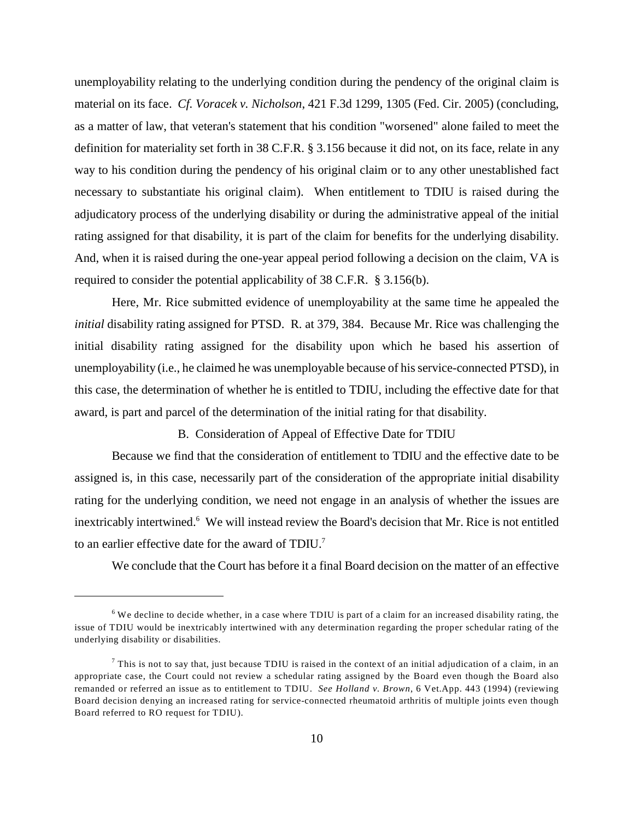unemployability relating to the underlying condition during the pendency of the original claim is material on its face. *Cf. Voracek v. Nicholson*, 421 F.3d 1299, 1305 (Fed. Cir. 2005) (concluding, as a matter of law, that veteran's statement that his condition "worsened" alone failed to meet the definition for materiality set forth in 38 C.F.R. § 3.156 because it did not, on its face, relate in any way to his condition during the pendency of his original claim or to any other unestablished fact necessary to substantiate his original claim). When entitlement to TDIU is raised during the adjudicatory process of the underlying disability or during the administrative appeal of the initial rating assigned for that disability, it is part of the claim for benefits for the underlying disability. And, when it is raised during the one-year appeal period following a decision on the claim, VA is required to consider the potential applicability of 38 C.F.R. § 3.156(b).

Here, Mr. Rice submitted evidence of unemployability at the same time he appealed the *initial* disability rating assigned for PTSD. R. at 379, 384. Because Mr. Rice was challenging the initial disability rating assigned for the disability upon which he based his assertion of unemployability (i.e., he claimed he was unemployable because of his service-connected PTSD), in this case, the determination of whether he is entitled to TDIU, including the effective date for that award, is part and parcel of the determination of the initial rating for that disability.

B. Consideration of Appeal of Effective Date for TDIU

Because we find that the consideration of entitlement to TDIU and the effective date to be assigned is, in this case, necessarily part of the consideration of the appropriate initial disability rating for the underlying condition, we need not engage in an analysis of whether the issues are inextricably intertwined.<sup>6</sup> We will instead review the Board's decision that Mr. Rice is not entitled to an earlier effective date for the award of TDIU.<sup>7</sup>

We conclude that the Court has before it a final Board decision on the matter of an effective

We decline to decide whether, in a case where TDIU is part of a claim for an increased disability rating, the <sup>6</sup> issue of TDIU would be inextricably intertwined with any determination regarding the proper schedular rating of the underlying disability or disabilities.

 $<sup>7</sup>$  This is not to say that, just because TDIU is raised in the context of an initial adjudication of a claim, in an</sup> appropriate case, the Court could not review a schedular rating assigned by the Board even though the Board also remanded or referred an issue as to entitlement to TDIU. *See Holland v. Brown*, 6 Vet.App. 443 (1994) (reviewing Board decision denying an increased rating for service-connected rheumatoid arthritis of multiple joints even though Board referred to RO request for TDIU).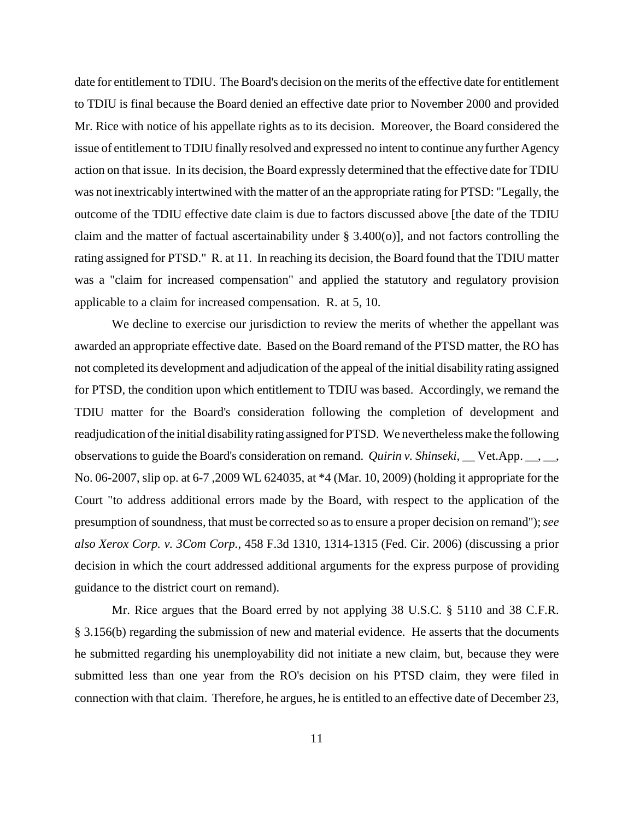date for entitlement to TDIU. The Board's decision on the merits of the effective date for entitlement to TDIU is final because the Board denied an effective date prior to November 2000 and provided Mr. Rice with notice of his appellate rights as to its decision. Moreover, the Board considered the issue of entitlement to TDIU finally resolved and expressed no intent to continue any further Agency action on that issue. In its decision, the Board expressly determined that the effective date for TDIU was not inextricably intertwined with the matter of an the appropriate rating for PTSD: "Legally, the outcome of the TDIU effective date claim is due to factors discussed above [the date of the TDIU claim and the matter of factual ascertainability under  $\S$  3.400(o)], and not factors controlling the rating assigned for PTSD." R. at 11. In reaching its decision, the Board found that the TDIU matter was a "claim for increased compensation" and applied the statutory and regulatory provision applicable to a claim for increased compensation. R. at 5, 10.

We decline to exercise our jurisdiction to review the merits of whether the appellant was awarded an appropriate effective date. Based on the Board remand of the PTSD matter, the RO has not completed its development and adjudication of the appeal of the initial disability rating assigned for PTSD, the condition upon which entitlement to TDIU was based. Accordingly, we remand the TDIU matter for the Board's consideration following the completion of development and readjudication of the initial disability rating assigned for PTSD. We nevertheless make the following observations to guide the Board's consideration on remand. *Quirin v. Shinseki*, \_\_ Vet.App. \_\_, \_\_, No. 06-2007, slip op. at 6-7 ,2009 WL 624035, at \*4 (Mar. 10, 2009) (holding it appropriate for the Court "to address additional errors made by the Board, with respect to the application of the presumption of soundness, that must be corrected so as to ensure a proper decision on remand"); *see also Xerox Corp. v. 3Com Corp.*, 458 F.3d 1310, 1314-1315 (Fed. Cir. 2006) (discussing a prior decision in which the court addressed additional arguments for the express purpose of providing guidance to the district court on remand).

Mr. Rice argues that the Board erred by not applying 38 U.S.C. § 5110 and 38 C.F.R. § 3.156(b) regarding the submission of new and material evidence. He asserts that the documents he submitted regarding his unemployability did not initiate a new claim, but, because they were submitted less than one year from the RO's decision on his PTSD claim, they were filed in connection with that claim. Therefore, he argues, he is entitled to an effective date of December 23,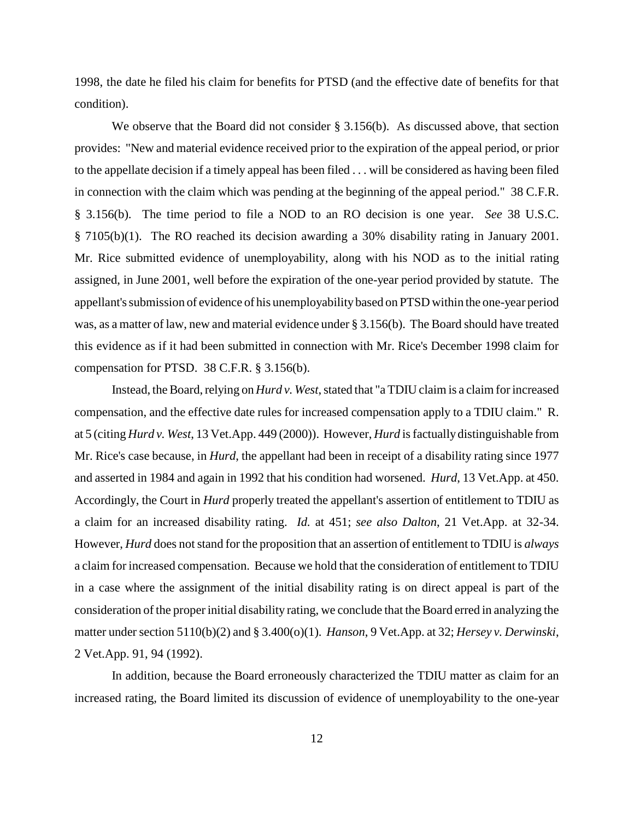1998, the date he filed his claim for benefits for PTSD (and the effective date of benefits for that condition).

We observe that the Board did not consider  $\S 3.156(b)$ . As discussed above, that section provides: "New and material evidence received prior to the expiration of the appeal period, or prior to the appellate decision if a timely appeal has been filed . . . will be considered as having been filed in connection with the claim which was pending at the beginning of the appeal period." 38 C.F.R. § 3.156(b). The time period to file a NOD to an RO decision is one year. *See* 38 U.S.C. § 7105(b)(1). The RO reached its decision awarding a 30% disability rating in January 2001. Mr. Rice submitted evidence of unemployability, along with his NOD as to the initial rating assigned, in June 2001, well before the expiration of the one-year period provided by statute. The appellant's submission of evidence of his unemployability based on PTSD within the one-year period was, as a matter of law, new and material evidence under § 3.156(b). The Board should have treated this evidence as if it had been submitted in connection with Mr. Rice's December 1998 claim for compensation for PTSD. 38 C.F.R. § 3.156(b).

Instead, the Board, relying on *Hurd v. West*, stated that "a TDIU claim is a claim for increased compensation, and the effective date rules for increased compensation apply to a TDIU claim." R. at 5 (citing *Hurd v. West*, 13 Vet.App. 449 (2000)). However, *Hurd* is factually distinguishable from Mr. Rice's case because, in *Hurd*, the appellant had been in receipt of a disability rating since 1977 and asserted in 1984 and again in 1992 that his condition had worsened. *Hurd*, 13 Vet.App. at 450. Accordingly, the Court in *Hurd* properly treated the appellant's assertion of entitlement to TDIU as a claim for an increased disability rating. *Id.* at 451; *see also Dalton*, 21 Vet.App. at 32-34. However, *Hurd* does not stand for the proposition that an assertion of entitlement to TDIU is *always* a claim for increased compensation. Because we hold that the consideration of entitlement to TDIU in a case where the assignment of the initial disability rating is on direct appeal is part of the consideration of the proper initial disability rating, we conclude that the Board erred in analyzing the matter under section 5110(b)(2) and § 3.400(o)(1). *Hanson*, 9 Vet.App. at 32; *Hersey v. Derwinski*, 2 Vet.App. 91, 94 (1992).

In addition, because the Board erroneously characterized the TDIU matter as claim for an increased rating, the Board limited its discussion of evidence of unemployability to the one-year